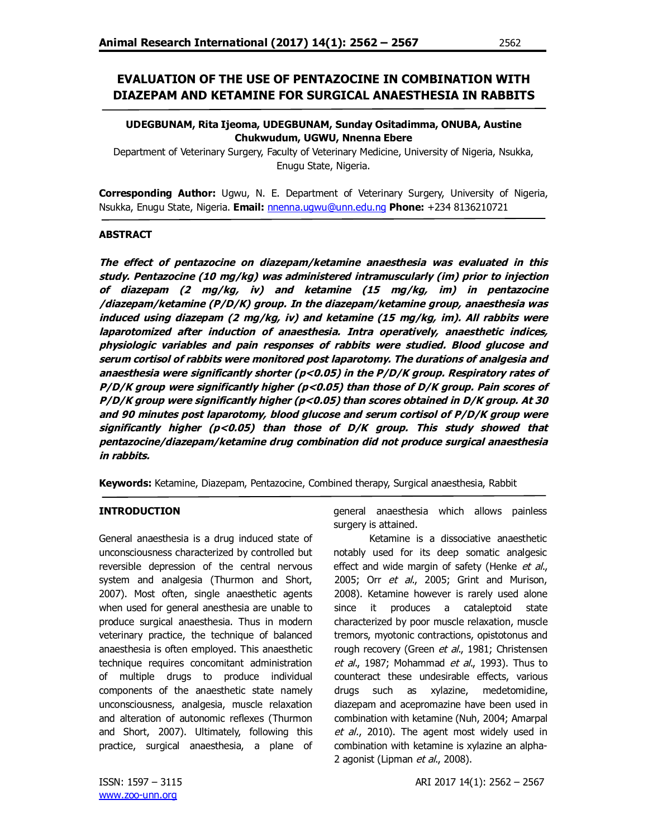### **UDEGBUNAM, Rita Ijeoma, UDEGBUNAM, Sunday Ositadimma, ONUBA, Austine Chukwudum, UGWU, Nnenna Ebere**

Department of Veterinary Surgery, Faculty of Veterinary Medicine, University of Nigeria, Nsukka, Enugu State, Nigeria.

**Corresponding Author:** Ugwu, N. E. Department of Veterinary Surgery, University of Nigeria, Nsukka, Enugu State, Nigeria. **Email:** nnenna.ugwu@unn.edu.ng **Phone:** +234 8136210721

## **ABSTRACT**

**The effect of pentazocine on diazepam/ketamine anaesthesia was evaluated in this study. Pentazocine (10 mg/kg) was administered intramuscularly (im) prior to injection of diazepam (2 mg/kg, iv) and ketamine (15 mg/kg, im) in pentazocine /diazepam/ketamine (P/D/K) group. In the diazepam/ketamine group, anaesthesia was induced using diazepam (2 mg/kg, iv) and ketamine (15 mg/kg, im). All rabbits were laparotomized after induction of anaesthesia. Intra operatively, anaesthetic indices, physiologic variables and pain responses of rabbits were studied. Blood glucose and serum cortisol of rabbits were monitored post laparotomy. The durations of analgesia and anaesthesia were significantly shorter (p<0.05) in the P/D/K group. Respiratory rates of P/D/K group were significantly higher (p<0.05) than those of D/K group. Pain scores of P/D/K group were significantly higher (p<0.05) than scores obtained in D/K group. At 30 and 90 minutes post laparotomy, blood glucose and serum cortisol of P/D/K group were significantly higher (p<0.05) than those of D/K group. This study showed that pentazocine/diazepam/ketamine drug combination did not produce surgical anaesthesia in rabbits.**

**Keywords:** Ketamine, Diazepam, Pentazocine, Combined therapy, Surgical anaesthesia, Rabbit

# **INTRODUCTION**

General anaesthesia is a drug induced state of unconsciousness characterized by controlled but reversible depression of the central nervous system and analgesia (Thurmon and Short, 2007). Most often, single anaesthetic agents when used for general anesthesia are unable to produce surgical anaesthesia. Thus in modern veterinary practice, the technique of balanced anaesthesia is often employed. This anaesthetic technique requires concomitant administration of multiple drugs to produce individual components of the anaesthetic state namely unconsciousness, analgesia, muscle relaxation and alteration of autonomic reflexes (Thurmon and Short, 2007). Ultimately, following this practice, surgical anaesthesia, a plane of

general anaesthesia which allows painless surgery is attained.

Ketamine is a dissociative anaesthetic notably used for its deep somatic analgesic effect and wide margin of safety (Henke et al., 2005; Orr et al., 2005; Grint and Murison, 2008). Ketamine however is rarely used alone since it produces a cataleptoid state characterized by poor muscle relaxation, muscle tremors, myotonic contractions, opistotonus and rough recovery (Green et al., 1981; Christensen et al., 1987; Mohammad et al., 1993). Thus to counteract these undesirable effects, various drugs such as xylazine, medetomidine, diazepam and acepromazine have been used in combination with ketamine (Nuh, 2004; Amarpal et al., 2010). The agent most widely used in combination with ketamine is xylazine an alpha-2 agonist (Lipman *et al.*, 2008).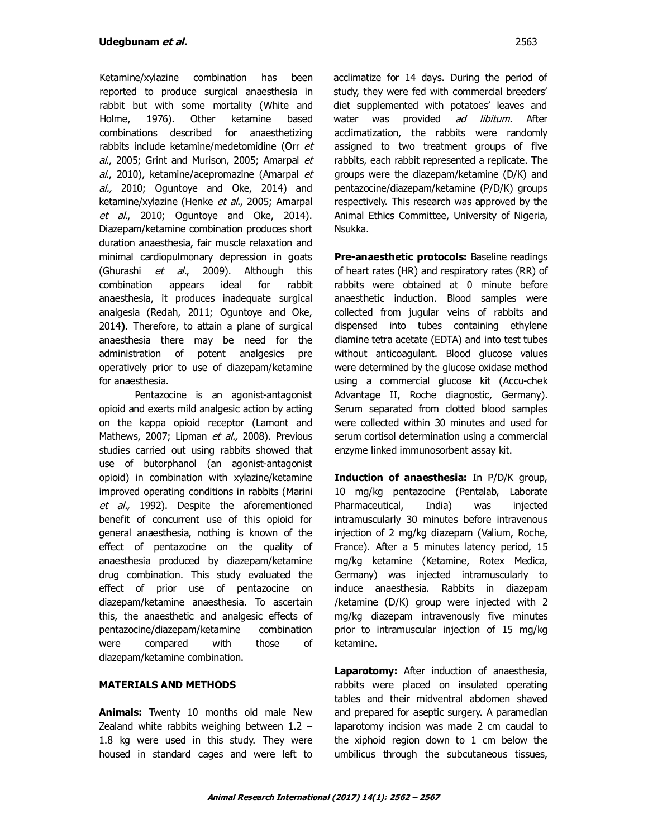Ketamine/xylazine combination has been reported to produce surgical anaesthesia in rabbit but with some mortality (White and Holme, 1976). Other ketamine based combinations described for anaesthetizing rabbits include ketamine/medetomidine (Orr et al., 2005; Grint and Murison, 2005; Amarpal et al., 2010), ketamine/acepromazine (Amarpal et al., 2010; Oguntoye and Oke, 2014) and ketamine/xylazine (Henke et al., 2005; Amarpal et al., 2010; Oguntoye and Oke, 2014). Diazepam/ketamine combination produces short duration anaesthesia, fair muscle relaxation and minimal cardiopulmonary depression in goats (Ghurashi *et al.*, 2009). Although this combination appears ideal for rabbit anaesthesia, it produces inadequate surgical analgesia (Redah, 2011; Oguntoye and Oke, 2014**)**. Therefore, to attain a plane of surgical anaesthesia there may be need for the administration of potent analgesics pre operatively prior to use of diazepam/ketamine for anaesthesia.

Pentazocine is an agonist-antagonist opioid and exerts mild analgesic action by acting on the kappa opioid receptor (Lamont and Mathews, 2007; Lipman et al., 2008). Previous studies carried out using rabbits showed that use of butorphanol (an agonist-antagonist opioid) in combination with xylazine/ketamine improved operating conditions in rabbits (Marini et al., 1992). Despite the aforementioned benefit of concurrent use of this opioid for general anaesthesia, nothing is known of the effect of pentazocine on the quality of anaesthesia produced by diazepam/ketamine drug combination. This study evaluated the effect of prior use of pentazocine on diazepam/ketamine anaesthesia. To ascertain this, the anaesthetic and analgesic effects of pentazocine/diazepam/ketamine combination were compared with those of diazepam/ketamine combination.

### **MATERIALS AND METHODS**

**Animals:** Twenty 10 months old male New Zealand white rabbits weighing between 1.2 – 1.8 kg were used in this study. They were housed in standard cages and were left to acclimatize for 14 days. During the period of study, they were fed with commercial breeders' diet supplemented with potatoes' leaves and water was provided ad libitum. After acclimatization, the rabbits were randomly assigned to two treatment groups of five rabbits, each rabbit represented a replicate. The groups were the diazepam/ketamine (D/K) and pentazocine/diazepam/ketamine (P/D/K) groups respectively. This research was approved by the Animal Ethics Committee, University of Nigeria, Nsukka.

**Pre-anaesthetic protocols:** Baseline readings of heart rates (HR) and respiratory rates (RR) of rabbits were obtained at 0 minute before anaesthetic induction. Blood samples were collected from jugular veins of rabbits and dispensed into tubes containing ethylene diamine tetra acetate (EDTA) and into test tubes without anticoagulant. Blood glucose values were determined by the glucose oxidase method using a commercial glucose kit (Accu-chek Advantage II, Roche diagnostic, Germany). Serum separated from clotted blood samples were collected within 30 minutes and used for serum cortisol determination using a commercial enzyme linked immunosorbent assay kit.

**Induction of anaesthesia:** In P/D/K group, 10 mg/kg pentazocine (Pentalab, Laborate Pharmaceutical, India) was injected intramuscularly 30 minutes before intravenous injection of 2 mg/kg diazepam (Valium, Roche, France). After a 5 minutes latency period, 15 mg/kg ketamine (Ketamine, Rotex Medica, Germany) was injected intramuscularly to induce anaesthesia. Rabbits in diazepam /ketamine (D/K) group were injected with 2 mg/kg diazepam intravenously five minutes prior to intramuscular injection of 15 mg/kg ketamine.

**Laparotomy:** After induction of anaesthesia, rabbits were placed on insulated operating tables and their midventral abdomen shaved and prepared for aseptic surgery. A paramedian laparotomy incision was made 2 cm caudal to the xiphoid region down to 1 cm below the umbilicus through the subcutaneous tissues,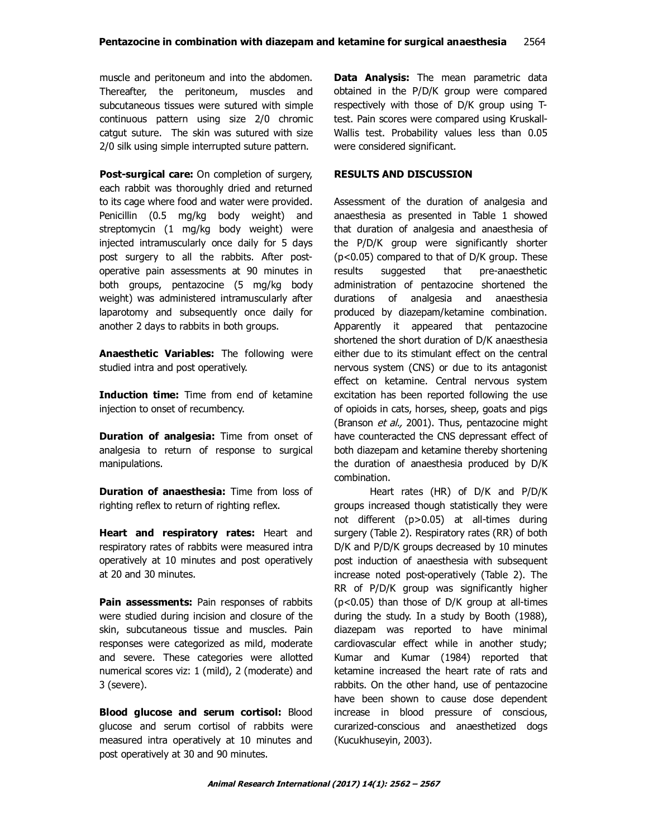muscle and peritoneum and into the abdomen. Thereafter, the peritoneum, muscles and subcutaneous tissues were sutured with simple continuous pattern using size 2/0 chromic catgut suture. The skin was sutured with size 2/0 silk using simple interrupted suture pattern.

**Post-surgical care:** On completion of surgery, each rabbit was thoroughly dried and returned to its cage where food and water were provided. Penicillin (0.5 mg/kg body weight) and streptomycin (1 mg/kg body weight) were injected intramuscularly once daily for 5 days post surgery to all the rabbits. After postoperative pain assessments at 90 minutes in both groups, pentazocine (5 mg/kg body weight) was administered intramuscularly after laparotomy and subsequently once daily for another 2 days to rabbits in both groups.

**Anaesthetic Variables:** The following were studied intra and post operatively.

**Induction time:** Time from end of ketamine injection to onset of recumbency.

**Duration of analgesia:** Time from onset of analgesia to return of response to surgical manipulations.

**Duration of anaesthesia:** Time from loss of righting reflex to return of righting reflex.

**Heart and respiratory rates:** Heart and respiratory rates of rabbits were measured intra operatively at 10 minutes and post operatively at 20 and 30 minutes.

**Pain assessments:** Pain responses of rabbits were studied during incision and closure of the skin, subcutaneous tissue and muscles. Pain responses were categorized as mild, moderate and severe. These categories were allotted numerical scores viz: 1 (mild), 2 (moderate) and 3 (severe).

**Blood glucose and serum cortisol:** Blood glucose and serum cortisol of rabbits were measured intra operatively at 10 minutes and post operatively at 30 and 90 minutes.

**Data Analysis:** The mean parametric data obtained in the P/D/K group were compared respectively with those of D/K group using Ttest. Pain scores were compared using Kruskall-Wallis test. Probability values less than 0.05 were considered significant.

## **RESULTS AND DISCUSSION**

Assessment of the duration of analgesia and anaesthesia as presented in Table 1 showed that duration of analgesia and anaesthesia of the P/D/K group were significantly shorter (p<0.05) compared to that of D/K group. These results suggested that pre-anaesthetic administration of pentazocine shortened the durations of analgesia and anaesthesia produced by diazepam/ketamine combination. Apparently it appeared that pentazocine shortened the short duration of D/K anaesthesia either due to its stimulant effect on the central nervous system (CNS) or due to its antagonist effect on ketamine. Central nervous system excitation has been reported following the use of opioids in cats, horses, sheep, goats and pigs (Branson et al., 2001). Thus, pentazocine might have counteracted the CNS depressant effect of both diazepam and ketamine thereby shortening the duration of anaesthesia produced by D/K combination.

Heart rates (HR) of D/K and P/D/K groups increased though statistically they were not different (p>0.05) at all-times during surgery (Table 2). Respiratory rates (RR) of both D/K and P/D/K groups decreased by 10 minutes post induction of anaesthesia with subsequent increase noted post-operatively (Table 2). The RR of P/D/K group was significantly higher (p<0.05) than those of D/K group at all-times during the study. In a study by Booth (1988), diazepam was reported to have minimal cardiovascular effect while in another study; Kumar and Kumar (1984) reported that ketamine increased the heart rate of rats and rabbits. On the other hand, use of pentazocine have been shown to cause dose dependent increase in blood pressure of conscious, curarized-conscious and anaesthetized dogs (Kucukhuseyin, 2003).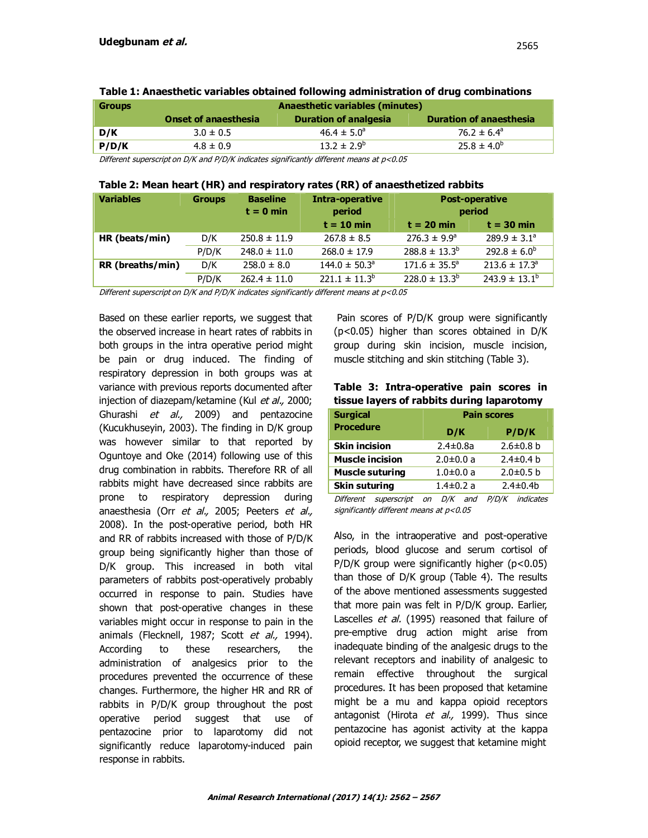| <b>Groups</b> | <b>Anaesthetic variables (minutes)</b> |                              |                                |  |  |  |  |  |  |
|---------------|----------------------------------------|------------------------------|--------------------------------|--|--|--|--|--|--|
|               | <b>Onset of anaesthesia</b>            | <b>Duration of analgesia</b> | <b>Duration of anaesthesia</b> |  |  |  |  |  |  |
| D/K           | $3.0 \pm 0.5$                          | $46.4 \pm 5.0^{\circ}$       | 76.2 $\pm$ 6.4 <sup>a</sup>    |  |  |  |  |  |  |
| P/D/K         | $4.8 \pm 0.9$                          | $13.2 \pm 2.9^b$             | $25.8 \pm 4.0^b$               |  |  |  |  |  |  |

Different superscript on D/K and P/D/K indicates significantly different means at p<0.05

### **Table 2: Mean heart (HR) and respiratory rates (RR) of anaesthetized rabbits**

| <b>Variables</b> | <b>Groups</b> | <b>Baseline</b><br>$t = 0$ min | Intra-operative<br>period     | <b>Post-operative</b><br>period |                               |
|------------------|---------------|--------------------------------|-------------------------------|---------------------------------|-------------------------------|
|                  |               |                                | $t = 10$ min                  | $t = 20$ min                    | $t = 30$ min                  |
| HR (beats/min)   | D/K           | $250.8 \pm 11.9$               | $267.8 \pm 8.5$               | $276.3 \pm 9.9^{\circ}$         | $289.9 \pm 3.1^a$             |
|                  | P/D/K         | $248.0 \pm 11.0$               | $268.0 \pm 17.9$              | $288.8 \pm 13.3^b$              | $292.8 \pm 6.0^b$             |
| RR (breaths/min) | D/K           | $258.0 \pm 8.0$                | $144.0 \pm 50.3$ <sup>a</sup> | $171.6 \pm 35.5^{\circ}$        | $213.6 \pm 17.3$ <sup>a</sup> |
|                  | P/D/K         | $262.4 \pm 11.0$               | $221.1 \pm 11.3^{\circ}$      | $228.0 \pm 13.3^b$              | $243.9 \pm 13.1^{\circ}$      |

Different superscript on D/K and P/D/K indicates significantly different means at p<0.05

Based on these earlier reports, we suggest that the observed increase in heart rates of rabbits in both groups in the intra operative period might be pain or drug induced. The finding of respiratory depression in both groups was at variance with previous reports documented after injection of diazepam/ketamine (Kul et al., 2000; Ghurashi et al., 2009) and pentazocine (Kucukhuseyin, 2003). The finding in D/K group was however similar to that reported by Oguntoye and Oke (2014) following use of this drug combination in rabbits. Therefore RR of all rabbits might have decreased since rabbits are prone to respiratory depression during anaesthesia (Orr et al., 2005; Peeters et al., 2008). In the post-operative period, both HR and RR of rabbits increased with those of P/D/K group being significantly higher than those of D/K group. This increased in both vital parameters of rabbits post-operatively probably occurred in response to pain. Studies have shown that post-operative changes in these variables might occur in response to pain in the animals (Flecknell, 1987; Scott et al., 1994). According to these researchers, the administration of analgesics prior to the procedures prevented the occurrence of these changes. Furthermore, the higher HR and RR of rabbits in P/D/K group throughout the post operative period suggest that use of pentazocine prior to laparotomy did not significantly reduce laparotomy-induced pain response in rabbits.

Pain scores of P/D/K group were significantly (p<0.05) higher than scores obtained in D/K group during skin incision, muscle incision, muscle stitching and skin stitching (Table 3).

|  |  |  | Table 3: Intra-operative pain scores in    |  |
|--|--|--|--------------------------------------------|--|
|  |  |  | tissue layers of rabbits during laparotomy |  |

| <b>Pain scores</b> |                 |  |  |  |  |  |
|--------------------|-----------------|--|--|--|--|--|
| D/K                | P/D/K           |  |  |  |  |  |
| $2.4 \pm 0.8a$     | $2.6 \pm 0.8$ b |  |  |  |  |  |
| $2.0 \pm 0.0 a$    | $2.4 \pm 0.4$ b |  |  |  |  |  |
| $1.0 \pm 0.0$ a    | $2.0 \pm 0.5$ b |  |  |  |  |  |
| $1.4 \pm 0.2$ a    | $2.4 \pm 0.4$   |  |  |  |  |  |
|                    |                 |  |  |  |  |  |

Different superscript on D/K and P/D/K indicates significantly different means at  $p<$  0.05

Also, in the intraoperative and post-operative periods, blood glucose and serum cortisol of P/D/K group were significantly higher (p<0.05) than those of D/K group (Table 4). The results of the above mentioned assessments suggested that more pain was felt in P/D/K group. Earlier, Lascelles et al. (1995) reasoned that failure of pre-emptive drug action might arise from inadequate binding of the analgesic drugs to the relevant receptors and inability of analgesic to remain effective throughout the surgical procedures. It has been proposed that ketamine might be a mu and kappa opioid receptors antagonist (Hirota et al., 1999). Thus since pentazocine has agonist activity at the kappa opioid receptor, we suggest that ketamine might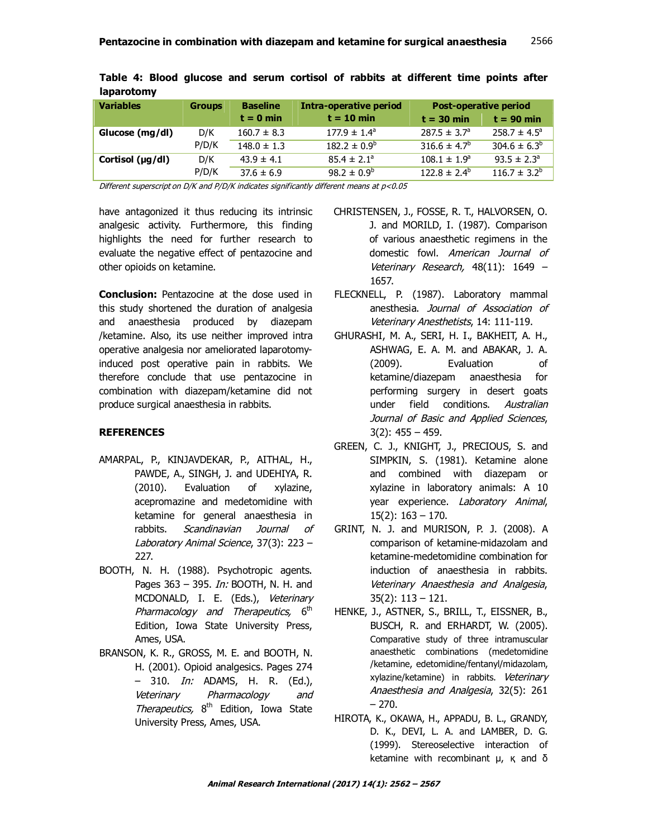| <b>Variables</b>     | <b>Groups</b> | <b>Baseline</b> | Intra-operative period  | <b>Post-operative period</b> |                         |
|----------------------|---------------|-----------------|-------------------------|------------------------------|-------------------------|
|                      |               | $t = 0$ min     | $t = 10$ min            | $t = 30$ min                 | $t = 90$ min            |
| Glucose (mg/dl)      | D/K           | $160.7 \pm 8.3$ | $177.9 \pm 1.4^{\circ}$ | $287.5 \pm 3.7^{\circ}$      | $258.7 \pm 4.5^{\circ}$ |
|                      | P/D/K         | $148.0 \pm 1.3$ | $182.2 \pm 0.9^b$       | $316.6 \pm 4.7^b$            | $304.6 \pm 6.3^b$       |
| Cortisol $(\mu g/d)$ | D/K           | $43.9 \pm 4.1$  | $85.4 \pm 2.1^a$        | $108.1 \pm 1.9^a$            | $93.5 \pm 2.3^{\circ}$  |
|                      | P/D/K         | $37.6 \pm 6.9$  | $98.2 \pm 0.9^b$        | $122.8 \pm 2.4^{\circ}$      | $116.7 \pm 3.2^b$       |

| Table 4: Blood glucose and serum cortisol of rabbits at different time points after |  |  |  |  |  |  |
|-------------------------------------------------------------------------------------|--|--|--|--|--|--|
| laparotomy                                                                          |  |  |  |  |  |  |

Different superscript on D/K and P/D/K indicates significantly different means at p<0.05

have antagonized it thus reducing its intrinsic analgesic activity. Furthermore, this finding highlights the need for further research to evaluate the negative effect of pentazocine and other opioids on ketamine.

**Conclusion:** Pentazocine at the dose used in this study shortened the duration of analgesia and anaesthesia produced by diazepam /ketamine. Also, its use neither improved intra operative analgesia nor ameliorated laparotomyinduced post operative pain in rabbits. We therefore conclude that use pentazocine in combination with diazepam/ketamine did not produce surgical anaesthesia in rabbits.

### **REFERENCES**

- AMARPAL, P., KINJAVDEKAR, P., AITHAL, H., PAWDE, A., SINGH, J. and UDEHIYA, R. (2010). Evaluation of xylazine, acepromazine and medetomidine with ketamine for general anaesthesia in rabbits. Scandinavian Journal of Laboratory Animal Science, 37(3): 223 -227.
- BOOTH, N. H. (1988). Psychotropic agents. Pages 363 – 395. *In:* BOOTH, N. H. and MCDONALD, I. E. (Eds.), Veterinary Pharmacology and Therapeutics, 6<sup>th</sup> Edition, Iowa State University Press, Ames, USA.
- BRANSON, K. R., GROSS, M. E. and BOOTH, N. H. (2001). Opioid analgesics. Pages 274 – 310. In: ADAMS, H. R. (Ed.), Veterinary Pharmacology and Therapeutics, 8<sup>th</sup> Edition, Iowa State University Press, Ames, USA.
- CHRISTENSEN, J., FOSSE, R. T., HALVORSEN, O. J. and MORILD, I. (1987). Comparison of various anaesthetic regimens in the domestic fowl. American Journal of Veterinary Research, 48(11): 1649 – 1657.
- FLECKNELL, P. (1987). Laboratory mammal anesthesia. Journal of Association of Veterinary Anesthetists, 14: 111-119.
- GHURASHI, M. A., SERI, H. I., BAKHEIT, A. H., ASHWAG, E. A. M. and ABAKAR, J. A. (2009). Evaluation of ketamine/diazepam anaesthesia for performing surgery in desert goats under field conditions. Australian Journal of Basic and Applied Sciences, 3(2): 455 – 459.
- GREEN, C. J., KNIGHT, J., PRECIOUS, S. and SIMPKIN, S. (1981). Ketamine alone and combined with diazepam or xylazine in laboratory animals: A 10 year experience. Laboratory Animal, 15(2): 163 – 170.
- GRINT, N. J. and MURISON, P. J. (2008). A comparison of ketamine-midazolam and ketamine-medetomidine combination for induction of anaesthesia in rabbits. Veterinary Anaesthesia and Analgesia, 35(2): 113 – 121.
- HENKE, J., ASTNER, S., BRILL, T., EISSNER, B., BUSCH, R. and ERHARDT, W. (2005). Comparative study of three intramuscular anaesthetic combinations (medetomidine /ketamine, edetomidine/fentanyl/midazolam, xylazine/ketamine) in rabbits. Veterinary Anaesthesia and Analgesia, 32(5): 261 – 270.
- HIROTA, K., OKAWA, H., APPADU, B. L., GRANDY, D. K., DEVI, L. A. and LAMBER, D. G. (1999). Stereoselective interaction of ketamine with recombinant  $\mu$ , κ and δ